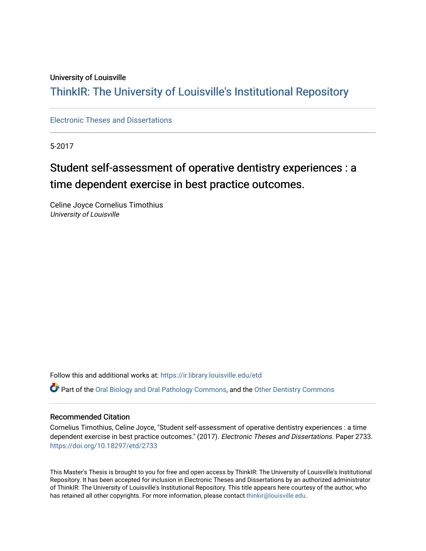#### University of Louisville

## ThinkIR: The Univ[ersity of Louisville's Institutional Reposit](https://ir.library.louisville.edu/)ory

#### [Electronic Theses and Dissertations](https://ir.library.louisville.edu/etd)

5-2017

# Student self-assessment of operative dentistry experiences : a time dependent exercise in best practice outcomes.

Celine Joyce Cornelius Timothius University of Louisville

Follow this and additional works at: [https://ir.library.louisville.edu/etd](https://ir.library.louisville.edu/etd?utm_source=ir.library.louisville.edu%2Fetd%2F2733&utm_medium=PDF&utm_campaign=PDFCoverPages) 

Part of the [Oral Biology and Oral Pathology Commons,](http://network.bepress.com/hgg/discipline/652?utm_source=ir.library.louisville.edu%2Fetd%2F2733&utm_medium=PDF&utm_campaign=PDFCoverPages) and the [Other Dentistry Commons](http://network.bepress.com/hgg/discipline/661?utm_source=ir.library.louisville.edu%2Fetd%2F2733&utm_medium=PDF&utm_campaign=PDFCoverPages) 

#### Recommended Citation

Cornelius Timothius, Celine Joyce, "Student self-assessment of operative dentistry experiences : a time dependent exercise in best practice outcomes." (2017). Electronic Theses and Dissertations. Paper 2733. <https://doi.org/10.18297/etd/2733>

This Master's Thesis is brought to you for free and open access by ThinkIR: The University of Louisville's Institutional Repository. It has been accepted for inclusion in Electronic Theses and Dissertations by an authorized administrator of ThinkIR: The University of Louisville's Institutional Repository. This title appears here courtesy of the author, who has retained all other copyrights. For more information, please contact [thinkir@louisville.edu](mailto:thinkir@louisville.edu).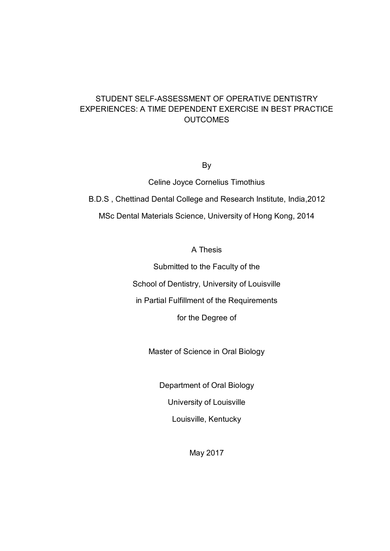## STUDENT SELF-ASSESSMENT OF OPERATIVE DENTISTRY EXPERIENCES: A TIME DEPENDENT EXERCISE IN BEST PRACTICE **OUTCOMES**

By

Celine Joyce Cornelius Timothius B.D.S , Chettinad Dental College and Research Institute, India,2012 MSc Dental Materials Science, University of Hong Kong, 2014

A Thesis

Submitted to the Faculty of the School of Dentistry, University of Louisville

in Partial Fulfillment of the Requirements

for the Degree of

Master of Science in Oral Biology

Department of Oral Biology

University of Louisville

Louisville, Kentucky

May 2017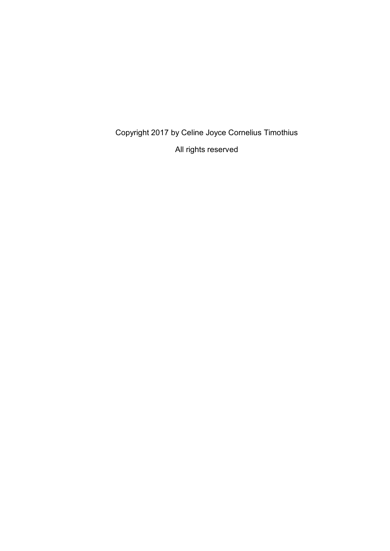Copyright 2017 by Celine Joyce Cornelius Timothius

All rights reserved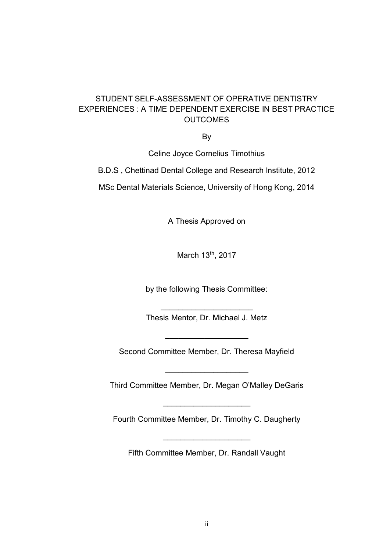## STUDENT SELF-ASSESSMENT OF OPERATIVE DENTISTRY EXPERIENCES : A TIME DEPENDENT EXERCISE IN BEST PRACTICE **OUTCOMES**

By

Celine Joyce Cornelius Timothius

B.D.S , Chettinad Dental College and Research Institute, 2012

MSc Dental Materials Science, University of Hong Kong, 2014

A Thesis Approved on

March 13th, 2017

by the following Thesis Committee:

 $\overline{\phantom{a}}$  , where  $\overline{\phantom{a}}$  , where  $\overline{\phantom{a}}$  , where  $\overline{\phantom{a}}$  , where  $\overline{\phantom{a}}$ Thesis Mentor, Dr. Michael J. Metz

Second Committee Member, Dr. Theresa Mayfield

 $\overline{\phantom{a}}$  , where  $\overline{\phantom{a}}$  , where  $\overline{\phantom{a}}$  , where  $\overline{\phantom{a}}$ 

Third Committee Member, Dr. Megan O'Malley DeGaris

 $\overline{\phantom{a}}$  , where  $\overline{\phantom{a}}$  , where  $\overline{\phantom{a}}$  , where  $\overline{\phantom{a}}$ 

Fourth Committee Member, Dr. Timothy C. Daugherty

 $\overline{\phantom{a}}$  , where  $\overline{\phantom{a}}$  , where  $\overline{\phantom{a}}$  , where  $\overline{\phantom{a}}$  , where  $\overline{\phantom{a}}$ 

Fifth Committee Member, Dr. Randall Vaught

 $\overline{\phantom{a}}$  , where  $\overline{\phantom{a}}$  , where  $\overline{\phantom{a}}$  , where  $\overline{\phantom{a}}$  , where  $\overline{\phantom{a}}$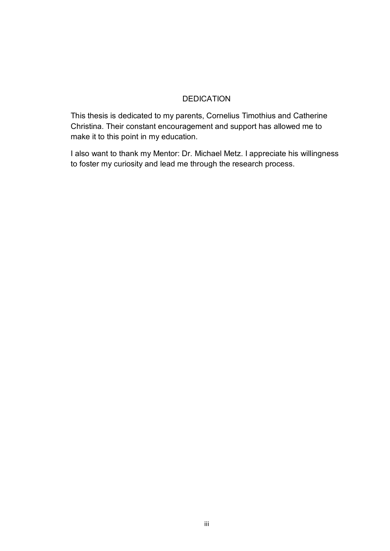### DEDICATION

This thesis is dedicated to my parents, Cornelius Timothius and Catherine Christina. Their constant encouragement and support has allowed me to make it to this point in my education.

I also want to thank my Mentor: Dr. Michael Metz. I appreciate his willingness to foster my curiosity and lead me through the research process.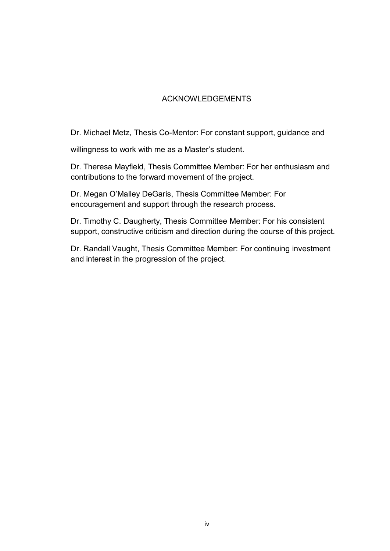## ACKNOWLEDGEMENTS

Dr. Michael Metz, Thesis Co-Mentor: For constant support, guidance and

willingness to work with me as a Master's student.

Dr. Theresa Mayfield, Thesis Committee Member: For her enthusiasm and contributions to the forward movement of the project.

Dr. Megan O'Malley DeGaris, Thesis Committee Member: For encouragement and support through the research process.

Dr. Timothy C. Daugherty, Thesis Committee Member: For his consistent support, constructive criticism and direction during the course of this project.

Dr. Randall Vaught, Thesis Committee Member: For continuing investment and interest in the progression of the project.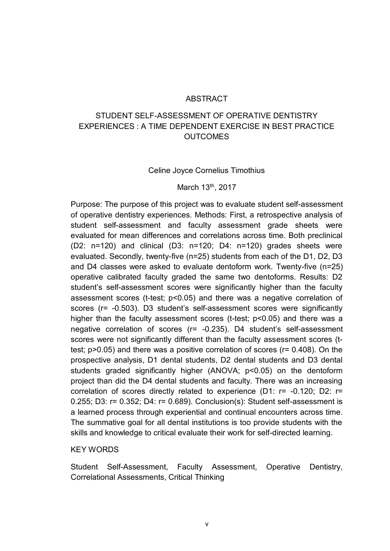#### **ABSTRACT**

## STUDENT SELF-ASSESSMENT OF OPERATIVE DENTISTRY EXPERIENCES : A TIME DEPENDENT EXERCISE IN BEST PRACTICE OUTCOMES

#### Celine Joyce Cornelius Timothius

#### March 13<sup>th</sup>, 2017

Purpose: The purpose of this project was to evaluate student self-assessment of operative dentistry experiences. Methods: First, a retrospective analysis of student self-assessment and faculty assessment grade sheets were evaluated for mean differences and correlations across time. Both preclinical (D2: n=120) and clinical (D3: n=120; D4: n=120) grades sheets were evaluated. Secondly, twenty-five (n=25) students from each of the D1, D2, D3 and D4 classes were asked to evaluate dentoform work. Twenty-five (n=25) operative calibrated faculty graded the same two dentoforms. Results: D2 student's self-assessment scores were significantly higher than the faculty assessment scores (t-test; p<0.05) and there was a negative correlation of scores (r= -0.503). D3 student's self-assessment scores were significantly higher than the faculty assessment scores (t-test;  $p$ <0.05) and there was a negative correlation of scores (r= -0.235). D4 student's self-assessment scores were not significantly different than the faculty assessment scores (ttest; p>0.05) and there was a positive correlation of scores (r= 0.408). On the prospective analysis, D1 dental students, D2 dental students and D3 dental students graded significantly higher (ANOVA; p<0.05) on the dentoform project than did the D4 dental students and faculty. There was an increasing correlation of scores directly related to experience (D1: r= -0.120; D2: r= 0.255; D3: r= 0.352; D4: r= 0.689). Conclusion(s): Student self-assessment is a learned process through experiential and continual encounters across time. The summative goal for all dental institutions is too provide students with the skills and knowledge to critical evaluate their work for self-directed learning.

#### KEY WORDS

Student Self-Assessment, Faculty Assessment, Operative Dentistry, Correlational Assessments, Critical Thinking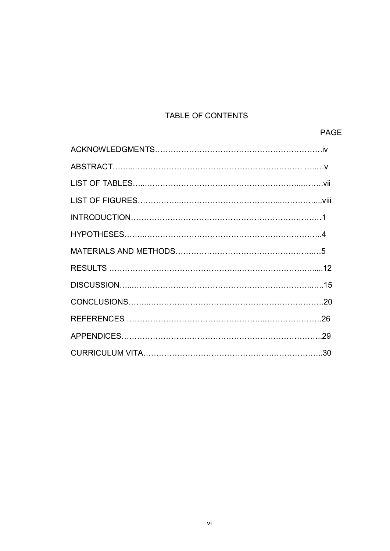## TABLE OF CONTENTS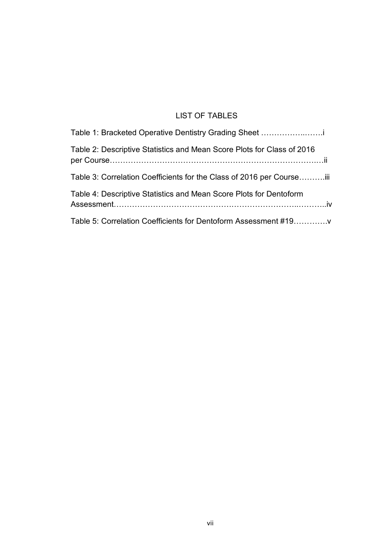## LIST OF TABLES

| Table 1: Bracketed Operative Dentistry Grading Sheet                   |
|------------------------------------------------------------------------|
| Table 2: Descriptive Statistics and Mean Score Plots for Class of 2016 |
| Table 3: Correlation Coefficients for the Class of 2016 per Courseiii  |
| Table 4: Descriptive Statistics and Mean Score Plots for Dentoform     |
| Table 5: Correlation Coefficients for Dentoform Assessment #19         |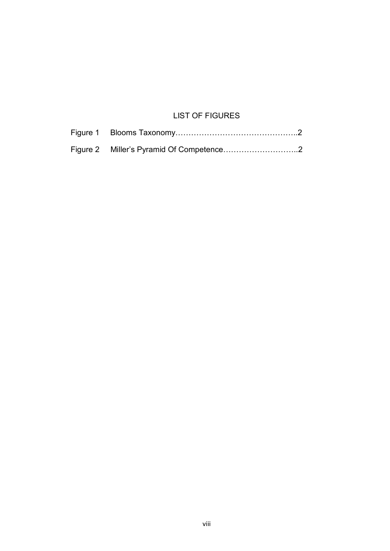## LIST OF FIGURES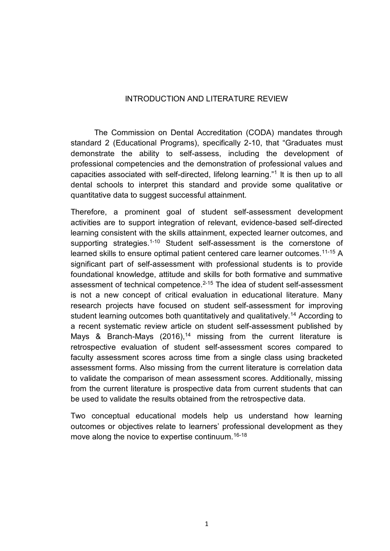## INTRODUCTION AND LITERATURE REVIEW

The Commission on Dental Accreditation (CODA) mandates through standard 2 (Educational Programs), specifically 2-10, that "Graduates must demonstrate the ability to self-assess, including the development of professional competencies and the demonstration of professional values and capacities associated with self-directed, lifelong learning."<sup>1</sup> It is then up to all dental schools to interpret this standard and provide some qualitative or quantitative data to suggest successful attainment.

Therefore, a prominent goal of student self-assessment development activities are to support integration of relevant, evidence-based self-directed learning consistent with the skills attainment, expected learner outcomes, and supporting strategies.<sup>1-10</sup> Student self-assessment is the cornerstone of learned skills to ensure optimal patient centered care learner outcomes.<sup>11-15</sup> A significant part of self-assessment with professional students is to provide foundational knowledge, attitude and skills for both formative and summative assessment of technical competence.<sup>2-15</sup> The idea of student self-assessment is not a new concept of critical evaluation in educational literature. Many research projects have focused on student self-assessment for improving student learning outcomes both quantitatively and qualitatively.<sup>14</sup> According to a recent systematic review article on student self-assessment published by Mays & Branch-Mays  $(2016)$ ,<sup>14</sup> missing from the current literature is retrospective evaluation of student self-assessment scores compared to faculty assessment scores across time from a single class using bracketed assessment forms. Also missing from the current literature is correlation data to validate the comparison of mean assessment scores. Additionally, missing from the current literature is prospective data from current students that can be used to validate the results obtained from the retrospective data.

Two conceptual educational models help us understand how learning outcomes or objectives relate to learners' professional development as they move along the novice to expertise continuum.<sup>16-18</sup>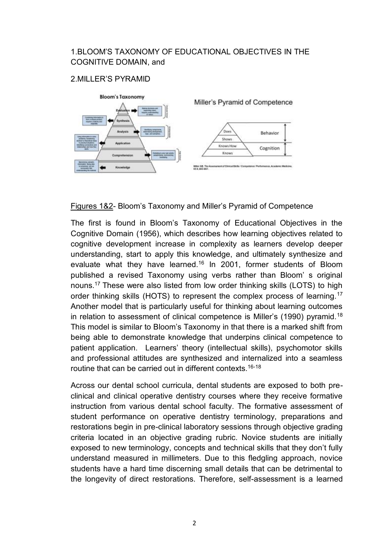## 1.BLOOM'S TAXONOMY OF EDUCATIONAL OBJECTIVES IN THE COGNITIVE DOMAIN, and

## 2.MILLER'S PYRAMID



Figures 1&2- Bloom's Taxonomy and Miller's Pyramid of Competence

The first is found in Bloom's Taxonomy of Educational Objectives in the Cognitive Domain (1956), which describes how learning objectives related to cognitive development increase in complexity as learners develop deeper understanding, start to apply this knowledge, and ultimately synthesize and evaluate what they have learned.<sup>16</sup> In 2001, former students of Bloom published a revised Taxonomy using verbs rather than Bloom' s original nouns.<sup>17</sup> These were also listed from low order thinking skills (LOTS) to high order thinking skills (HOTS) to represent the complex process of learning.<sup>17</sup> Another model that is particularly useful for thinking about learning outcomes in relation to assessment of clinical competence is Miller's (1990) pyramid.<sup>18</sup> This model is similar to Bloom's Taxonomy in that there is a marked shift from being able to demonstrate knowledge that underpins clinical competence to patient application. Learners' theory (intellectual skills), psychomotor skills and professional attitudes are synthesized and internalized into a seamless routine that can be carried out in different contexts.16-18

Across our dental school curricula, dental students are exposed to both preclinical and clinical operative dentistry courses where they receive formative instruction from various dental school faculty. The formative assessment of student performance on operative dentistry terminology, preparations and restorations begin in pre-clinical laboratory sessions through objective grading criteria located in an objective grading rubric. Novice students are initially exposed to new terminology, concepts and technical skills that they don't fully understand measured in millimeters. Due to this fledgling approach, novice students have a hard time discerning small details that can be detrimental to the longevity of direct restorations. Therefore, self-assessment is a learned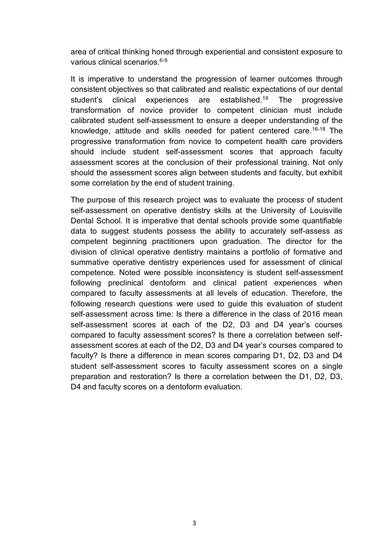area of critical thinking honed through experiential and consistent exposure to various clinical scenarios.<sup>6-9</sup>

It is imperative to understand the progression of learner outcomes through consistent objectives so that calibrated and realistic expectations of our dental student's clinical experiences are established.<sup>19</sup> The progressive transformation of novice provider to competent clinician must include calibrated student self-assessment to ensure a deeper understanding of the knowledge, attitude and skills needed for patient centered care.<sup>16-18</sup> The progressive transformation from novice to competent health care providers should include student self-assessment scores that approach faculty assessment scores at the conclusion of their professional training. Not only should the assessment scores align between students and faculty, but exhibit some correlation by the end of student training.

The purpose of this research project was to evaluate the process of student self-assessment on operative dentistry skills at the University of Louisville Dental School. It is imperative that dental schools provide some quantifiable data to suggest students possess the ability to accurately self-assess as competent beginning practitioners upon graduation. The director for the division of clinical operative dentistry maintains a portfolio of formative and summative operative dentistry experiences used for assessment of clinical competence. Noted were possible inconsistency is student self-assessment following preclinical dentoform and clinical patient experiences when compared to faculty assessments at all levels of education. Therefore, the following research questions were used to guide this evaluation of student self-assessment across time: Is there a difference in the class of 2016 mean self-assessment scores at each of the D2, D3 and D4 year's courses compared to faculty assessment scores? Is there a correlation between selfassessment scores at each of the D2, D3 and D4 year's courses compared to faculty? Is there a difference in mean scores comparing D1, D2, D3 and D4 student self-assessment scores to faculty assessment scores on a single preparation and restoration? Is there a correlation between the D1, D2, D3, D4 and faculty scores on a dentoform evaluation.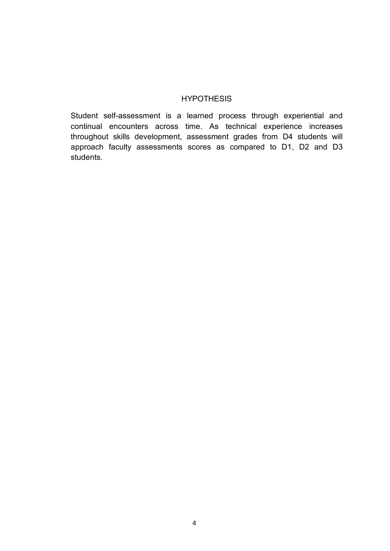#### **HYPOTHESIS**

Student self-assessment is a learned process through experiential and continual encounters across time. As technical experience increases throughout skills development, assessment grades from D4 students will approach faculty assessments scores as compared to D1, D2 and D3 students.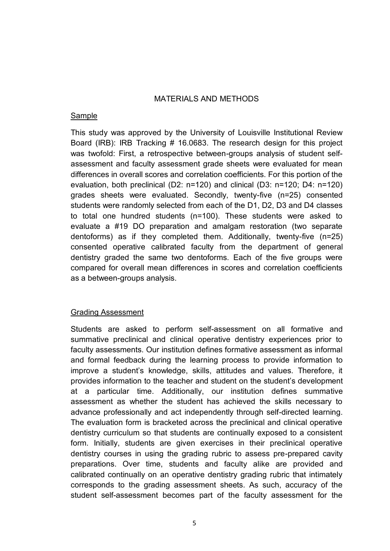#### MATERIALS AND METHODS

#### Sample

This study was approved by the University of Louisville Institutional Review Board (IRB): IRB Tracking # 16.0683. The research design for this project was twofold: First, a retrospective between-groups analysis of student selfassessment and faculty assessment grade sheets were evaluated for mean differences in overall scores and correlation coefficients. For this portion of the evaluation, both preclinical (D2: n=120) and clinical (D3: n=120; D4: n=120) grades sheets were evaluated. Secondly, twenty-five (n=25) consented students were randomly selected from each of the D1, D2, D3 and D4 classes to total one hundred students (n=100). These students were asked to evaluate a #19 DO preparation and amalgam restoration (two separate dentoforms) as if they completed them. Additionally, twenty-five (n=25) consented operative calibrated faculty from the department of general dentistry graded the same two dentoforms. Each of the five groups were compared for overall mean differences in scores and correlation coefficients as a between-groups analysis.

#### Grading Assessment

Students are asked to perform self-assessment on all formative and summative preclinical and clinical operative dentistry experiences prior to faculty assessments. Our institution defines formative assessment as informal and formal feedback during the learning process to provide information to improve a student's knowledge, skills, attitudes and values. Therefore, it provides information to the teacher and student on the student's development at a particular time. Additionally, our institution defines summative assessment as whether the student has achieved the skills necessary to advance professionally and act independently through self-directed learning. The evaluation form is bracketed across the preclinical and clinical operative dentistry curriculum so that students are continually exposed to a consistent form. Initially, students are given exercises in their preclinical operative dentistry courses in using the grading rubric to assess pre-prepared cavity preparations. Over time, students and faculty alike are provided and calibrated continually on an operative dentistry grading rubric that intimately corresponds to the grading assessment sheets. As such, accuracy of the student self-assessment becomes part of the faculty assessment for the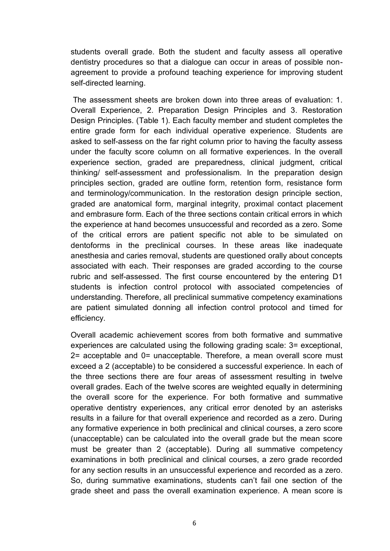students overall grade. Both the student and faculty assess all operative dentistry procedures so that a dialogue can occur in areas of possible nonagreement to provide a profound teaching experience for improving student self-directed learning.

The assessment sheets are broken down into three areas of evaluation: 1. Overall Experience, 2. Preparation Design Principles and 3. Restoration Design Principles. (Table 1). Each faculty member and student completes the entire grade form for each individual operative experience. Students are asked to self-assess on the far right column prior to having the faculty assess under the faculty score column on all formative experiences. In the overall experience section, graded are preparedness, clinical judgment, critical thinking/ self-assessment and professionalism. In the preparation design principles section, graded are outline form, retention form, resistance form and terminology/communication. In the restoration design principle section, graded are anatomical form, marginal integrity, proximal contact placement and embrasure form. Each of the three sections contain critical errors in which the experience at hand becomes unsuccessful and recorded as a zero. Some of the critical errors are patient specific not able to be simulated on dentoforms in the preclinical courses. In these areas like inadequate anesthesia and caries removal, students are questioned orally about concepts associated with each. Their responses are graded according to the course rubric and self-assessed. The first course encountered by the entering D1 students is infection control protocol with associated competencies of understanding. Therefore, all preclinical summative competency examinations are patient simulated donning all infection control protocol and timed for efficiency.

Overall academic achievement scores from both formative and summative experiences are calculated using the following grading scale: 3= exceptional, 2= acceptable and 0= unacceptable. Therefore, a mean overall score must exceed a 2 (acceptable) to be considered a successful experience. In each of the three sections there are four areas of assessment resulting in twelve overall grades. Each of the twelve scores are weighted equally in determining the overall score for the experience. For both formative and summative operative dentistry experiences, any critical error denoted by an asterisks results in a failure for that overall experience and recorded as a zero. During any formative experience in both preclinical and clinical courses, a zero score (unacceptable) can be calculated into the overall grade but the mean score must be greater than 2 (acceptable). During all summative competency examinations in both preclinical and clinical courses, a zero grade recorded for any section results in an unsuccessful experience and recorded as a zero. So, during summative examinations, students can't fail one section of the grade sheet and pass the overall examination experience. A mean score is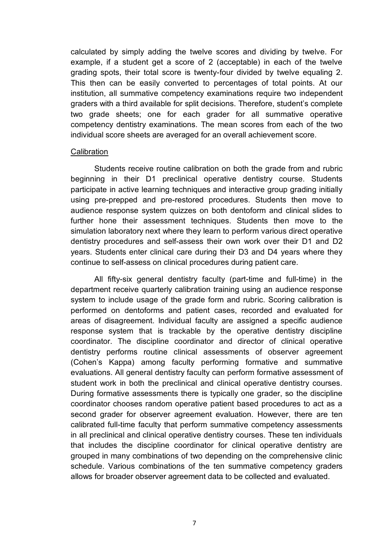calculated by simply adding the twelve scores and dividing by twelve. For example, if a student get a score of 2 (acceptable) in each of the twelve grading spots, their total score is twenty-four divided by twelve equaling 2. This then can be easily converted to percentages of total points. At our institution, all summative competency examinations require two independent graders with a third available for split decisions. Therefore, student's complete two grade sheets; one for each grader for all summative operative competency dentistry examinations. The mean scores from each of the two individual score sheets are averaged for an overall achievement score.

#### **Calibration**

Students receive routine calibration on both the grade from and rubric beginning in their D1 preclinical operative dentistry course. Students participate in active learning techniques and interactive group grading initially using pre-prepped and pre-restored procedures. Students then move to audience response system quizzes on both dentoform and clinical slides to further hone their assessment techniques. Students then move to the simulation laboratory next where they learn to perform various direct operative dentistry procedures and self-assess their own work over their D1 and D2 years. Students enter clinical care during their D3 and D4 years where they continue to self-assess on clinical procedures during patient care.

All fifty-six general dentistry faculty (part-time and full-time) in the department receive quarterly calibration training using an audience response system to include usage of the grade form and rubric. Scoring calibration is performed on dentoforms and patient cases, recorded and evaluated for areas of disagreement. Individual faculty are assigned a specific audience response system that is trackable by the operative dentistry discipline coordinator. The discipline coordinator and director of clinical operative dentistry performs routine clinical assessments of observer agreement (Cohen's Kappa) among faculty performing formative and summative evaluations. All general dentistry faculty can perform formative assessment of student work in both the preclinical and clinical operative dentistry courses. During formative assessments there is typically one grader, so the discipline coordinator chooses random operative patient based procedures to act as a second grader for observer agreement evaluation. However, there are ten calibrated full-time faculty that perform summative competency assessments in all preclinical and clinical operative dentistry courses. These ten individuals that includes the discipline coordinator for clinical operative dentistry are grouped in many combinations of two depending on the comprehensive clinic schedule. Various combinations of the ten summative competency graders allows for broader observer agreement data to be collected and evaluated.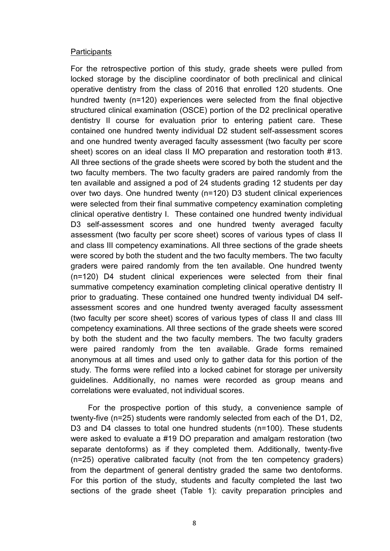#### **Participants**

For the retrospective portion of this study, grade sheets were pulled from locked storage by the discipline coordinator of both preclinical and clinical operative dentistry from the class of 2016 that enrolled 120 students. One hundred twenty (n=120) experiences were selected from the final objective structured clinical examination (OSCE) portion of the D2 preclinical operative dentistry II course for evaluation prior to entering patient care. These contained one hundred twenty individual D2 student self-assessment scores and one hundred twenty averaged faculty assessment (two faculty per score sheet) scores on an ideal class II MO preparation and restoration tooth #13. All three sections of the grade sheets were scored by both the student and the two faculty members. The two faculty graders are paired randomly from the ten available and assigned a pod of 24 students grading 12 students per day over two days. One hundred twenty (n=120) D3 student clinical experiences were selected from their final summative competency examination completing clinical operative dentistry I. These contained one hundred twenty individual D3 self-assessment scores and one hundred twenty averaged faculty assessment (two faculty per score sheet) scores of various types of class II and class III competency examinations. All three sections of the grade sheets were scored by both the student and the two faculty members. The two faculty graders were paired randomly from the ten available. One hundred twenty (n=120) D4 student clinical experiences were selected from their final summative competency examination completing clinical operative dentistry II prior to graduating. These contained one hundred twenty individual D4 selfassessment scores and one hundred twenty averaged faculty assessment (two faculty per score sheet) scores of various types of class II and class III competency examinations. All three sections of the grade sheets were scored by both the student and the two faculty members. The two faculty graders were paired randomly from the ten available. Grade forms remained anonymous at all times and used only to gather data for this portion of the study. The forms were refiled into a locked cabinet for storage per university guidelines. Additionally, no names were recorded as group means and correlations were evaluated, not individual scores.

 For the prospective portion of this study, a convenience sample of twenty-five (n=25) students were randomly selected from each of the D1, D2, D3 and D4 classes to total one hundred students (n=100). These students were asked to evaluate a #19 DO preparation and amalgam restoration (two separate dentoforms) as if they completed them. Additionally, twenty-five (n=25) operative calibrated faculty (not from the ten competency graders) from the department of general dentistry graded the same two dentoforms. For this portion of the study, students and faculty completed the last two sections of the grade sheet (Table 1): cavity preparation principles and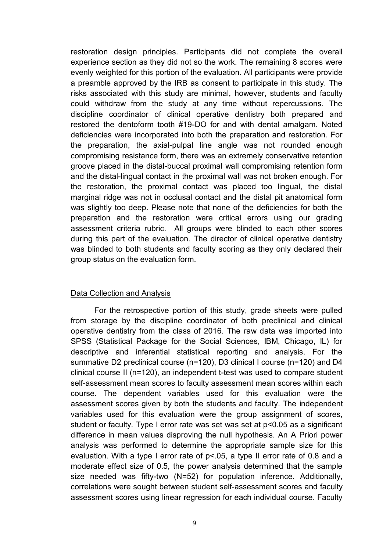restoration design principles. Participants did not complete the overall experience section as they did not so the work. The remaining 8 scores were evenly weighted for this portion of the evaluation. All participants were provide a preamble approved by the IRB as consent to participate in this study. The risks associated with this study are minimal, however, students and faculty could withdraw from the study at any time without repercussions. The discipline coordinator of clinical operative dentistry both prepared and restored the dentoform tooth #19-DO for and with dental amalgam. Noted deficiencies were incorporated into both the preparation and restoration. For the preparation, the axial-pulpal line angle was not rounded enough compromising resistance form, there was an extremely conservative retention groove placed in the distal-buccal proximal wall compromising retention form and the distal-lingual contact in the proximal wall was not broken enough. For the restoration, the proximal contact was placed too lingual, the distal marginal ridge was not in occlusal contact and the distal pit anatomical form was slightly too deep. Please note that none of the deficiencies for both the preparation and the restoration were critical errors using our grading assessment criteria rubric. All groups were blinded to each other scores during this part of the evaluation. The director of clinical operative dentistry was blinded to both students and faculty scoring as they only declared their group status on the evaluation form.

#### Data Collection and Analysis

For the retrospective portion of this study, grade sheets were pulled from storage by the discipline coordinator of both preclinical and clinical operative dentistry from the class of 2016. The raw data was imported into SPSS (Statistical Package for the Social Sciences, IBM, Chicago, IL) for descriptive and inferential statistical reporting and analysis. For the summative D2 preclinical course (n=120), D3 clinical I course (n=120) and D4 clinical course II (n=120), an independent t-test was used to compare student self-assessment mean scores to faculty assessment mean scores within each course. The dependent variables used for this evaluation were the assessment scores given by both the students and faculty. The independent variables used for this evaluation were the group assignment of scores, student or faculty. Type I error rate was set was set at p<0.05 as a significant difference in mean values disproving the null hypothesis. An A Priori power analysis was performed to determine the appropriate sample size for this evaluation. With a type I error rate of  $p$ <.05, a type II error rate of 0.8 and a moderate effect size of 0.5, the power analysis determined that the sample size needed was fifty-two (N=52) for population inference. Additionally, correlations were sought between student self-assessment scores and faculty assessment scores using linear regression for each individual course. Faculty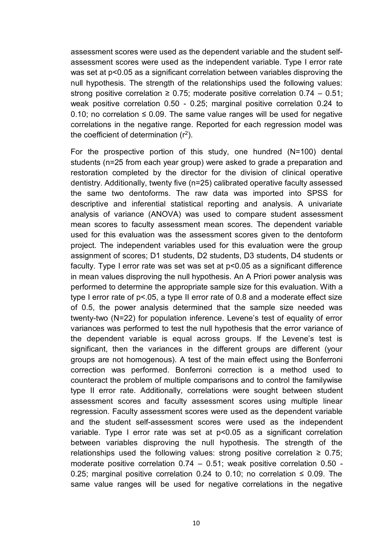assessment scores were used as the dependent variable and the student selfassessment scores were used as the independent variable. Type I error rate was set at p<0.05 as a significant correlation between variables disproving the null hypothesis. The strength of the relationships used the following values: strong positive correlation  $\geq 0.75$ ; moderate positive correlation 0.74 – 0.51; weak positive correlation 0.50 - 0.25; marginal positive correlation 0.24 to 0.10; no correlation  $\leq$  0.09. The same value ranges will be used for negative correlations in the negative range. Reported for each regression model was the coefficient of determination  $(r^2)$ .

For the prospective portion of this study, one hundred (N=100) dental students (n=25 from each year group) were asked to grade a preparation and restoration completed by the director for the division of clinical operative dentistry. Additionally, twenty five (n=25) calibrated operative faculty assessed the same two dentoforms. The raw data was imported into SPSS for descriptive and inferential statistical reporting and analysis. A univariate analysis of variance (ANOVA) was used to compare student assessment mean scores to faculty assessment mean scores. The dependent variable used for this evaluation was the assessment scores given to the dentoform project. The independent variables used for this evaluation were the group assignment of scores; D1 students, D2 students, D3 students, D4 students or faculty. Type I error rate was set was set at p<0.05 as a significant difference in mean values disproving the null hypothesis. An A Priori power analysis was performed to determine the appropriate sample size for this evaluation. With a type I error rate of p<.05, a type II error rate of 0.8 and a moderate effect size of 0.5, the power analysis determined that the sample size needed was twenty-two (N=22) for population inference. Levene's test of equality of error variances was performed to test the null hypothesis that the error variance of the dependent variable is equal across groups. If the Levene's test is significant, then the variances in the different groups are different (your groups are not homogenous). A test of the main effect using the Bonferroni correction was performed. Bonferroni correction is a method used to counteract the problem of multiple comparisons and to control the familywise type II error rate. Additionally, correlations were sought between student assessment scores and faculty assessment scores using multiple linear regression. Faculty assessment scores were used as the dependent variable and the student self-assessment scores were used as the independent variable. Type I error rate was set at p<0.05 as a significant correlation between variables disproving the null hypothesis. The strength of the relationships used the following values: strong positive correlation  $\geq 0.75$ ; moderate positive correlation 0.74 – 0.51; weak positive correlation 0.50 - 0.25; marginal positive correlation 0.24 to 0.10; no correlation  $\leq$  0.09. The same value ranges will be used for negative correlations in the negative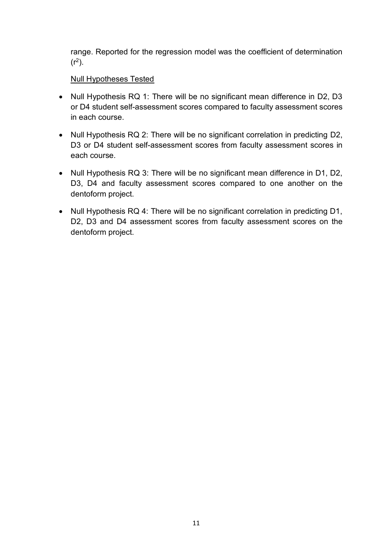range. Reported for the regression model was the coefficient of determination  $(r^2)$ .

## Null Hypotheses Tested

- Null Hypothesis RQ 1: There will be no significant mean difference in D2, D3 or D4 student self-assessment scores compared to faculty assessment scores in each course.
- Null Hypothesis RQ 2: There will be no significant correlation in predicting D2, D3 or D4 student self-assessment scores from faculty assessment scores in each course.
- Null Hypothesis RQ 3: There will be no significant mean difference in D1, D2, D3, D4 and faculty assessment scores compared to one another on the dentoform project.
- Null Hypothesis RQ 4: There will be no significant correlation in predicting D1, D2, D3 and D4 assessment scores from faculty assessment scores on the dentoform project.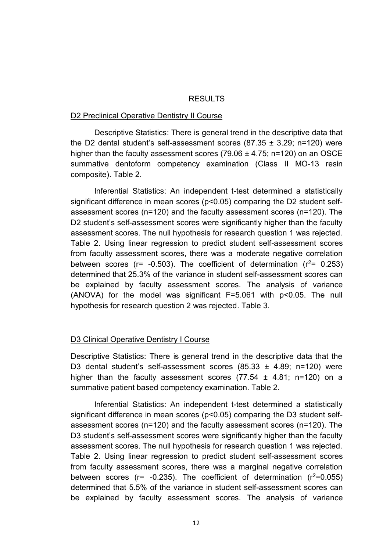#### RESULTS

#### D2 Preclinical Operative Dentistry II Course

Descriptive Statistics: There is general trend in the descriptive data that the D2 dental student's self-assessment scores  $(87.35 \pm 3.29; n=120)$  were higher than the faculty assessment scores (79.06  $\pm$  4.75; n=120) on an OSCE summative dentoform competency examination (Class II MO-13 resin composite). Table 2.

Inferential Statistics: An independent t-test determined a statistically significant difference in mean scores (p<0.05) comparing the D2 student selfassessment scores (n=120) and the faculty assessment scores (n=120). The D2 student's self-assessment scores were significantly higher than the faculty assessment scores. The null hypothesis for research question 1 was rejected. Table 2. Using linear regression to predict student self-assessment scores from faculty assessment scores, there was a moderate negative correlation between scores ( $r = -0.503$ ). The coefficient of determination ( $r^2 = 0.253$ ) determined that 25.3% of the variance in student self-assessment scores can be explained by faculty assessment scores. The analysis of variance (ANOVA) for the model was significant F=5.061 with p<0.05. The null hypothesis for research question 2 was rejected. Table 3.

#### D3 Clinical Operative Dentistry I Course

Descriptive Statistics: There is general trend in the descriptive data that the D3 dental student's self-assessment scores  $(85.33 \pm 4.89; n=120)$  were higher than the faculty assessment scores  $(77.54 \pm 4.81; n=120)$  on a summative patient based competency examination. Table 2.

Inferential Statistics: An independent t-test determined a statistically significant difference in mean scores (p<0.05) comparing the D3 student selfassessment scores (n=120) and the faculty assessment scores (n=120). The D3 student's self-assessment scores were significantly higher than the faculty assessment scores. The null hypothesis for research question 1 was rejected. Table 2. Using linear regression to predict student self-assessment scores from faculty assessment scores, there was a marginal negative correlation between scores ( $r = -0.235$ ). The coefficient of determination ( $r^2 = 0.055$ ) determined that 5.5% of the variance in student self-assessment scores can be explained by faculty assessment scores. The analysis of variance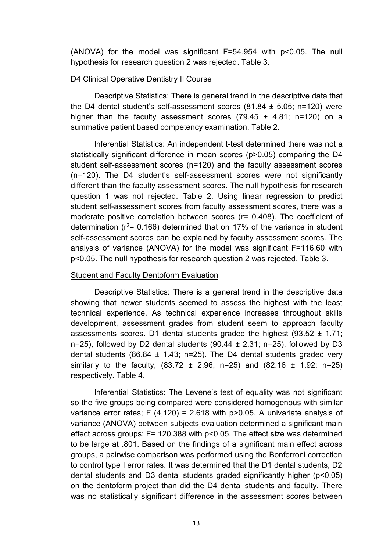(ANOVA) for the model was significant F=54.954 with p<0.05. The null hypothesis for research question 2 was rejected. Table 3.

#### D4 Clinical Operative Dentistry II Course

Descriptive Statistics: There is general trend in the descriptive data that the D4 dental student's self-assessment scores  $(81.84 \pm 5.05; n=120)$  were higher than the faculty assessment scores  $(79.45 \pm 4.81; n=120)$  on a summative patient based competency examination. Table 2.

Inferential Statistics: An independent t-test determined there was not a statistically significant difference in mean scores (p>0.05) comparing the D4 student self-assessment scores (n=120) and the faculty assessment scores (n=120). The D4 student's self-assessment scores were not significantly different than the faculty assessment scores. The null hypothesis for research question 1 was not rejected. Table 2. Using linear regression to predict student self-assessment scores from faculty assessment scores, there was a moderate positive correlation between scores (r= 0.408). The coefficient of determination ( $r^2$ = 0.166) determined that on 17% of the variance in student self-assessment scores can be explained by faculty assessment scores. The analysis of variance (ANOVA) for the model was significant F=116.60 with p<0.05. The null hypothesis for research question 2 was rejected. Table 3.

#### Student and Faculty Dentoform Evaluation

Descriptive Statistics: There is a general trend in the descriptive data showing that newer students seemed to assess the highest with the least technical experience. As technical experience increases throughout skills development, assessment grades from student seem to approach faculty assessments scores. D1 dental students graded the highest  $(93.52 \pm 1.71)$ ; n=25), followed by D2 dental students  $(90.44 \pm 2.31; n=25)$ , followed by D3 dental students (86.84  $\pm$  1.43; n=25). The D4 dental students graded very similarly to the faculty,  $(83.72 \pm 2.96; n=25)$  and  $(82.16 \pm 1.92; n=25)$ respectively. Table 4.

Inferential Statistics: The Levene's test of equality was not significant so the five groups being compared were considered homogenous with similar variance error rates:  $F(4.120) = 2.618$  with p>0.05. A univariate analysis of variance (ANOVA) between subjects evaluation determined a significant main effect across groups; F= 120.388 with p<0.05. The effect size was determined to be large at .801. Based on the findings of a significant main effect across groups, a pairwise comparison was performed using the Bonferroni correction to control type I error rates. It was determined that the D1 dental students, D2 dental students and D3 dental students graded significantly higher (p<0.05) on the dentoform project than did the D4 dental students and faculty. There was no statistically significant difference in the assessment scores between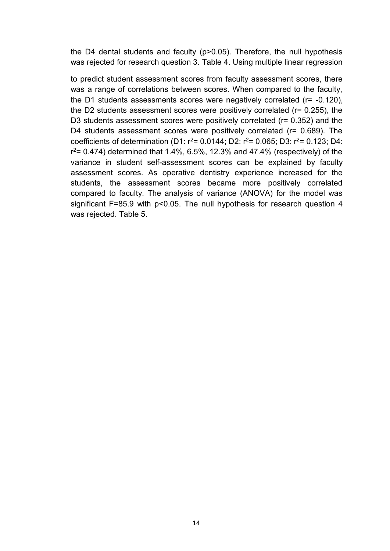the D4 dental students and faculty (p>0.05). Therefore, the null hypothesis was rejected for research question 3. Table 4. Using multiple linear regression

to predict student assessment scores from faculty assessment scores, there was a range of correlations between scores. When compared to the faculty, the D1 students assessments scores were negatively correlated (r= -0.120), the D2 students assessment scores were positively correlated (r= 0.255), the D3 students assessment scores were positively correlated (r= 0.352) and the D4 students assessment scores were positively correlated (r= 0.689). The coefficients of determination (D1:  $r^2$ = 0.0144; D2:  $r^2$ = 0.065; D3:  $r^2$ = 0.123; D4:  $r^2$  = 0.474) determined that 1.4%, 6.5%, 12.3% and 47.4% (respectively) of the variance in student self-assessment scores can be explained by faculty assessment scores. As operative dentistry experience increased for the students, the assessment scores became more positively correlated compared to faculty. The analysis of variance (ANOVA) for the model was significant F=85.9 with p<0.05. The null hypothesis for research question 4 was rejected. Table 5.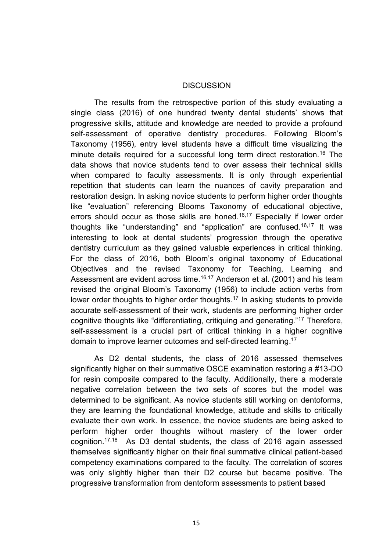#### **DISCUSSION**

The results from the retrospective portion of this study evaluating a single class (2016) of one hundred twenty dental students' shows that progressive skills, attitude and knowledge are needed to provide a profound self-assessment of operative dentistry procedures. Following Bloom's Taxonomy (1956), entry level students have a difficult time visualizing the minute details required for a successful long term direct restoration.<sup>16</sup> The data shows that novice students tend to over assess their technical skills when compared to faculty assessments. It is only through experiential repetition that students can learn the nuances of cavity preparation and restoration design. In asking novice students to perform higher order thoughts like "evaluation" referencing Blooms Taxonomy of educational objective, errors should occur as those skills are honed.<sup>16,17</sup> Especially if lower order thoughts like "understanding" and "application" are confused.16,17 It was interesting to look at dental students' progression through the operative dentistry curriculum as they gained valuable experiences in critical thinking. For the class of 2016, both Bloom's original taxonomy of Educational Objectives and the revised Taxonomy for Teaching, Learning and Assessment are evident across time.<sup>16,17</sup> Anderson et al. (2001) and his team revised the original Bloom's Taxonomy (1956) to include action verbs from lower order thoughts to higher order thoughts.<sup>17</sup> In asking students to provide accurate self-assessment of their work, students are performing higher order cognitive thoughts like "differentiating, critiquing and generating."<sup>17</sup> Therefore, self-assessment is a crucial part of critical thinking in a higher cognitive domain to improve learner outcomes and self-directed learning.<sup>17</sup>

As D2 dental students, the class of 2016 assessed themselves significantly higher on their summative OSCE examination restoring a #13-DO for resin composite compared to the faculty. Additionally, there a moderate negative correlation between the two sets of scores but the model was determined to be significant. As novice students still working on dentoforms, they are learning the foundational knowledge, attitude and skills to critically evaluate their own work. In essence, the novice students are being asked to perform higher order thoughts without mastery of the lower order cognition.17,18 As D3 dental students, the class of 2016 again assessed themselves significantly higher on their final summative clinical patient-based competency examinations compared to the faculty. The correlation of scores was only slightly higher than their D2 course but became positive. The progressive transformation from dentoform assessments to patient based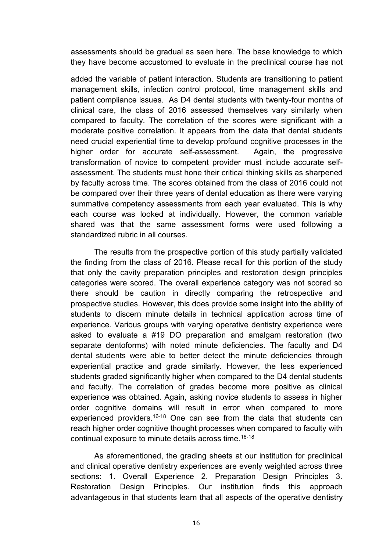assessments should be gradual as seen here. The base knowledge to which they have become accustomed to evaluate in the preclinical course has not

added the variable of patient interaction. Students are transitioning to patient management skills, infection control protocol, time management skills and patient compliance issues. As D4 dental students with twenty-four months of clinical care, the class of 2016 assessed themselves vary similarly when compared to faculty. The correlation of the scores were significant with a moderate positive correlation. It appears from the data that dental students need crucial experiential time to develop profound cognitive processes in the higher order for accurate self-assessment. Again, the progressive transformation of novice to competent provider must include accurate selfassessment. The students must hone their critical thinking skills as sharpened by faculty across time. The scores obtained from the class of 2016 could not be compared over their three years of dental education as there were varying summative competency assessments from each year evaluated. This is why each course was looked at individually. However, the common variable shared was that the same assessment forms were used following a standardized rubric in all courses.

The results from the prospective portion of this study partially validated the finding from the class of 2016. Please recall for this portion of the study that only the cavity preparation principles and restoration design principles categories were scored. The overall experience category was not scored so there should be caution in directly comparing the retrospective and prospective studies. However, this does provide some insight into the ability of students to discern minute details in technical application across time of experience. Various groups with varying operative dentistry experience were asked to evaluate a #19 DO preparation and amalgam restoration (two separate dentoforms) with noted minute deficiencies. The faculty and D4 dental students were able to better detect the minute deficiencies through experiential practice and grade similarly. However, the less experienced students graded significantly higher when compared to the D4 dental students and faculty. The correlation of grades become more positive as clinical experience was obtained. Again, asking novice students to assess in higher order cognitive domains will result in error when compared to more experienced providers.<sup>16-18</sup> One can see from the data that students can reach higher order cognitive thought processes when compared to faculty with continual exposure to minute details across time.16-18

As aforementioned, the grading sheets at our institution for preclinical and clinical operative dentistry experiences are evenly weighted across three sections: 1. Overall Experience 2. Preparation Design Principles 3. Restoration Design Principles. Our institution finds this approach advantageous in that students learn that all aspects of the operative dentistry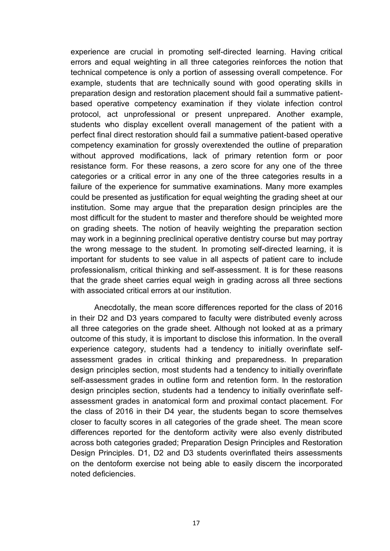experience are crucial in promoting self-directed learning. Having critical errors and equal weighting in all three categories reinforces the notion that technical competence is only a portion of assessing overall competence. For example, students that are technically sound with good operating skills in preparation design and restoration placement should fail a summative patientbased operative competency examination if they violate infection control protocol, act unprofessional or present unprepared. Another example, students who display excellent overall management of the patient with a perfect final direct restoration should fail a summative patient-based operative competency examination for grossly overextended the outline of preparation without approved modifications, lack of primary retention form or poor resistance form. For these reasons, a zero score for any one of the three categories or a critical error in any one of the three categories results in a failure of the experience for summative examinations. Many more examples could be presented as justification for equal weighting the grading sheet at our institution. Some may argue that the preparation design principles are the most difficult for the student to master and therefore should be weighted more on grading sheets. The notion of heavily weighting the preparation section may work in a beginning preclinical operative dentistry course but may portray the wrong message to the student. In promoting self-directed learning, it is important for students to see value in all aspects of patient care to include professionalism, critical thinking and self-assessment. It is for these reasons that the grade sheet carries equal weigh in grading across all three sections with associated critical errors at our institution.

Anecdotally, the mean score differences reported for the class of 2016 in their D2 and D3 years compared to faculty were distributed evenly across all three categories on the grade sheet. Although not looked at as a primary outcome of this study, it is important to disclose this information. In the overall experience category, students had a tendency to initially overinflate selfassessment grades in critical thinking and preparedness. In preparation design principles section, most students had a tendency to initially overinflate self-assessment grades in outline form and retention form. In the restoration design principles section, students had a tendency to initially overinflate selfassessment grades in anatomical form and proximal contact placement. For the class of 2016 in their D4 year, the students began to score themselves closer to faculty scores in all categories of the grade sheet. The mean score differences reported for the dentoform activity were also evenly distributed across both categories graded; Preparation Design Principles and Restoration Design Principles. D1, D2 and D3 students overinflated theirs assessments on the dentoform exercise not being able to easily discern the incorporated noted deficiencies.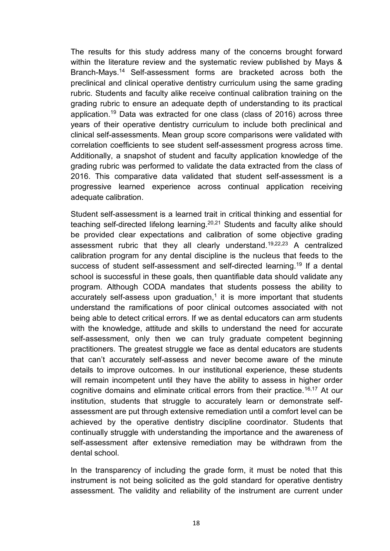The results for this study address many of the concerns brought forward within the literature review and the systematic review published by Mays & Branch-Mays.<sup>14</sup> Self-assessment forms are bracketed across both the preclinical and clinical operative dentistry curriculum using the same grading rubric. Students and faculty alike receive continual calibration training on the grading rubric to ensure an adequate depth of understanding to its practical application.<sup>19</sup> Data was extracted for one class (class of 2016) across three years of their operative dentistry curriculum to include both preclinical and clinical self-assessments. Mean group score comparisons were validated with correlation coefficients to see student self-assessment progress across time. Additionally, a snapshot of student and faculty application knowledge of the grading rubric was performed to validate the data extracted from the class of 2016. This comparative data validated that student self-assessment is a progressive learned experience across continual application receiving adequate calibration.

Student self-assessment is a learned trait in critical thinking and essential for teaching self-directed lifelong learning.20,21 Students and faculty alike should be provided clear expectations and calibration of some objective grading assessment rubric that they all clearly understand.19,22,23 A centralized calibration program for any dental discipline is the nucleus that feeds to the success of student self-assessment and self-directed learning.<sup>19</sup> If a dental school is successful in these goals, then quantifiable data should validate any program. Although CODA mandates that students possess the ability to accurately self-assess upon graduation, $1$  it is more important that students understand the ramifications of poor clinical outcomes associated with not being able to detect critical errors. If we as dental educators can arm students with the knowledge, attitude and skills to understand the need for accurate self-assessment, only then we can truly graduate competent beginning practitioners. The greatest struggle we face as dental educators are students that can't accurately self-assess and never become aware of the minute details to improve outcomes. In our institutional experience, these students will remain incompetent until they have the ability to assess in higher order cognitive domains and eliminate critical errors from their practice.<sup>16,17</sup> At our institution, students that struggle to accurately learn or demonstrate selfassessment are put through extensive remediation until a comfort level can be achieved by the operative dentistry discipline coordinator. Students that continually struggle with understanding the importance and the awareness of self-assessment after extensive remediation may be withdrawn from the dental school.

In the transparency of including the grade form, it must be noted that this instrument is not being solicited as the gold standard for operative dentistry assessment. The validity and reliability of the instrument are current under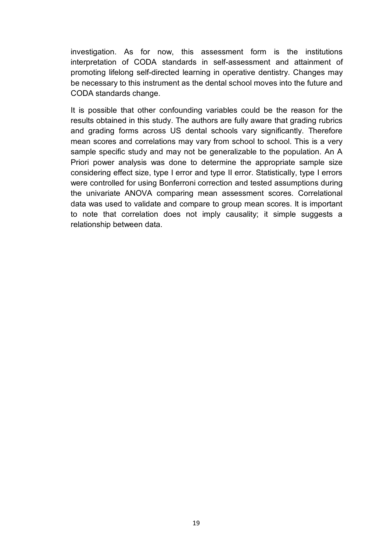investigation. As for now, this assessment form is the institutions interpretation of CODA standards in self-assessment and attainment of promoting lifelong self-directed learning in operative dentistry. Changes may be necessary to this instrument as the dental school moves into the future and CODA standards change.

It is possible that other confounding variables could be the reason for the results obtained in this study. The authors are fully aware that grading rubrics and grading forms across US dental schools vary significantly. Therefore mean scores and correlations may vary from school to school. This is a very sample specific study and may not be generalizable to the population. An A Priori power analysis was done to determine the appropriate sample size considering effect size, type I error and type II error. Statistically, type I errors were controlled for using Bonferroni correction and tested assumptions during the univariate ANOVA comparing mean assessment scores. Correlational data was used to validate and compare to group mean scores. It is important to note that correlation does not imply causality; it simple suggests a relationship between data.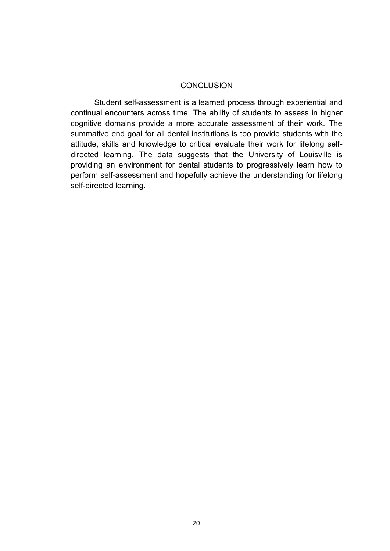#### **CONCLUSION**

Student self-assessment is a learned process through experiential and continual encounters across time. The ability of students to assess in higher cognitive domains provide a more accurate assessment of their work. The summative end goal for all dental institutions is too provide students with the attitude, skills and knowledge to critical evaluate their work for lifelong selfdirected learning. The data suggests that the University of Louisville is providing an environment for dental students to progressively learn how to perform self-assessment and hopefully achieve the understanding for lifelong self-directed learning.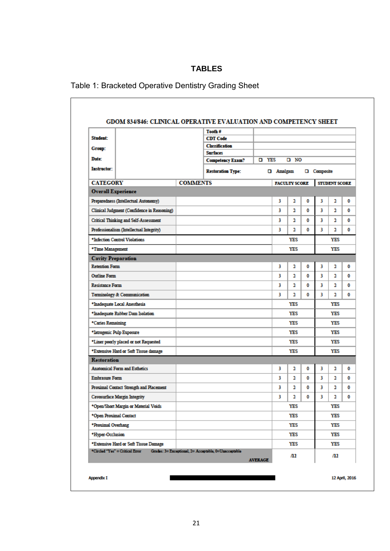## **TABLES**

| Table 1: Bracketed Operative Dentistry Grading Sheet |  |  |
|------------------------------------------------------|--|--|
|                                                      |  |  |

|                                              |                 | Tooth #                                               |                |                  |                      |   |                    |                      |  |
|----------------------------------------------|-----------------|-------------------------------------------------------|----------------|------------------|----------------------|---|--------------------|----------------------|--|
| Student:                                     |                 | <b>CDT</b> Code                                       |                |                  |                      |   |                    |                      |  |
| Group:                                       |                 | <b>Classification</b>                                 |                |                  |                      |   |                    |                      |  |
| <b>Date:</b>                                 |                 | <b>Surfaces</b>                                       | <b>D</b> YES   |                  | סא ם                 |   |                    |                      |  |
|                                              |                 | <b>Competency Exam?</b>                               |                |                  |                      |   |                    |                      |  |
| <b>Instructor:</b>                           |                 | <b>Restoration Type:</b>                              |                | <b>Q</b> Amalgam |                      |   | <b>Q</b> Composite |                      |  |
| <b>CATEGORY</b>                              | <b>COMMENTS</b> |                                                       |                |                  | <b>FACULTY SCORE</b> |   |                    | <b>STUDENT SCORE</b> |  |
| <b>Overall Experience</b>                    |                 |                                                       |                |                  |                      |   |                    |                      |  |
| Preparedness (Intellectual Autonomy)         |                 |                                                       |                | 3                | 2                    | ٥ | 3                  | 2                    |  |
| Clinical Judgment (Confidence in Reasoning)  |                 |                                                       |                | 3                | 2                    | ٥ | з                  | 2                    |  |
| <b>Critical Thinking and Self-Assessment</b> |                 |                                                       |                | 3                | 2                    | 0 | 3                  | 2                    |  |
| Professionalism (Intellectual Integrity)     |                 |                                                       |                | 3                | 2                    | 0 | 3                  | 2                    |  |
| *Infection Control Violations                |                 |                                                       |                |                  | <b>YES</b>           |   |                    | YES                  |  |
| *Time Management                             |                 |                                                       |                |                  | <b>YES</b>           |   |                    | <b>YES</b>           |  |
| <b>Cavity Preparation</b>                    |                 |                                                       |                |                  |                      |   |                    |                      |  |
| <b>Retention Form</b>                        |                 |                                                       |                | 3                | 2                    | ٥ | 3                  | 2                    |  |
| <b>Outline Form</b>                          |                 |                                                       |                | 3                | 2                    | 0 | 3                  | 2                    |  |
| <b>Resistance Form</b>                       |                 |                                                       |                | 3                | 2                    | ٥ | 3                  | 2                    |  |
| Terminology & Communication                  |                 |                                                       |                | 3                | 2                    | 0 | 3                  | $\mathbf{a}$         |  |
| *Inadequate Local Anesthesia                 |                 |                                                       |                |                  | YES                  |   |                    | YES                  |  |
| *Inadequate Rubber Dam Isolation             |                 |                                                       |                |                  | YES                  |   |                    | YES                  |  |
| *Caries Remaining                            |                 |                                                       |                |                  | <b>YES</b>           |   |                    | <b>YES</b>           |  |
| *Iatrogenic Pulp Exposure                    |                 |                                                       |                |                  | <b>YES</b>           |   |                    | YES                  |  |
| *Liner poorly placed or not Requested        |                 |                                                       |                |                  | YES                  |   |                    | YES                  |  |
| *Extensive Hard or Soft Tissue damage        |                 |                                                       |                |                  | YES                  |   |                    | YES                  |  |
| <b>Restoration</b>                           |                 |                                                       |                |                  |                      |   |                    |                      |  |
| <b>Anatomical Form and Esthetics</b>         |                 |                                                       |                | 3                | 2                    | 0 | 3                  | 2                    |  |
| <b>Embrasure Form</b>                        |                 |                                                       |                | 3                | 2                    | 0 | 3                  | 2                    |  |
| Proximal Contact Strength and Placement      |                 |                                                       |                | 3                | 2                    | ٥ | 3                  | 2                    |  |
| <b>Cavosurface Margin Integrity</b>          |                 |                                                       |                | 3                | 2                    | o | 3                  | 2                    |  |
| *Open/Short Margin or Material Voids         |                 |                                                       |                |                  | YES                  |   |                    | YES                  |  |
| *Open Proximal Contact                       |                 |                                                       |                |                  | YES                  |   |                    | YES                  |  |
| *Proximal Overhang                           |                 |                                                       |                |                  | <b>YES</b>           |   |                    | YES                  |  |
| *Hyper-Occlusion                             |                 |                                                       |                |                  | YES                  |   |                    | YES                  |  |
| *Extensive Hard or Soft Tissue Damage        |                 |                                                       |                |                  | <b>YES</b>           |   |                    | YES                  |  |
| *Circled "Yes" = Critical Error              |                 | Grados: 3= Exceptional, 2= Acceptable, 0=Unacceptable | <b>AVERAGE</b> |                  | Л2                   |   |                    | /12                  |  |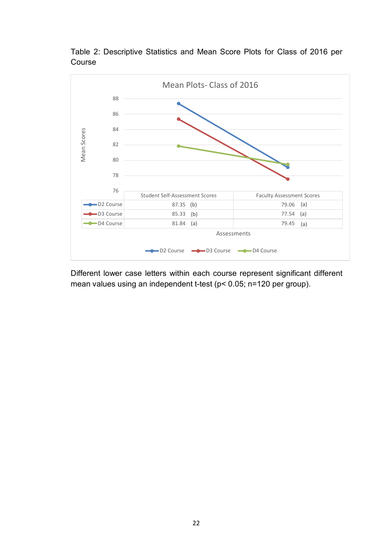

Table 2: Descriptive Statistics and Mean Score Plots for Class of 2016 per Course

Different lower case letters within each course represent significant different mean values using an independent t-test (p< 0.05; n=120 per group).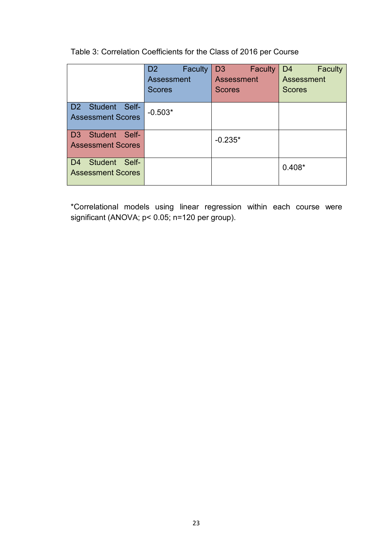Table 3: Correlation Coefficients for the Class of 2016 per Course

|                                 | <b>Faculty</b><br>D <sub>2</sub> | D <sub>3</sub><br><b>Faculty</b> | D <sub>4</sub><br><b>Faculty</b> |  |  |
|---------------------------------|----------------------------------|----------------------------------|----------------------------------|--|--|
|                                 | Assessment                       | Assessment                       | Assessment                       |  |  |
|                                 | <b>Scores</b>                    | <b>Scores</b>                    | <b>Scores</b>                    |  |  |
|                                 |                                  |                                  |                                  |  |  |
| D2 Student Self-                | $-0.503*$                        |                                  |                                  |  |  |
| <b>Assessment Scores</b>        |                                  |                                  |                                  |  |  |
|                                 |                                  |                                  |                                  |  |  |
| Student Self-<br>D <sub>3</sub> |                                  |                                  |                                  |  |  |
| <b>Assessment Scores</b>        |                                  | $-0.235*$                        |                                  |  |  |
|                                 |                                  |                                  |                                  |  |  |
| Student<br>Self-<br>D4          |                                  |                                  |                                  |  |  |
| <b>Assessment Scores</b>        |                                  |                                  | $0.408*$                         |  |  |
|                                 |                                  |                                  |                                  |  |  |

\*Correlational models using linear regression within each course were significant (ANOVA; p< 0.05; n=120 per group).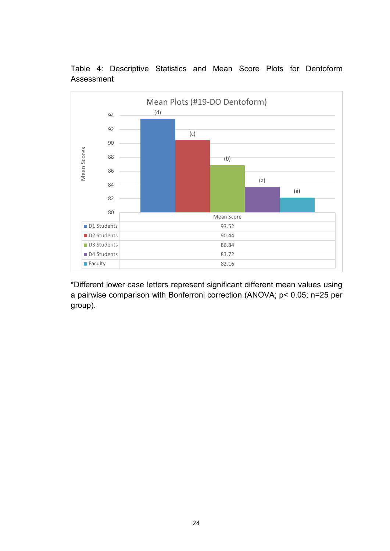

Table 4: Descriptive Statistics and Mean Score Plots for Dentoform Assessment

\*Different lower case letters represent significant different mean values using a pairwise comparison with Bonferroni correction (ANOVA; p< 0.05; n=25 per group).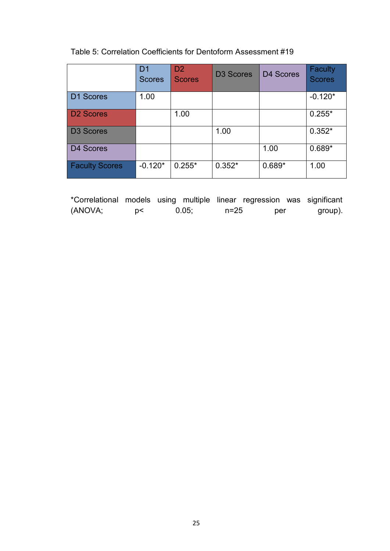## Table 5: Correlation Coefficients for Dentoform Assessment #19

|                       | D <sub>1</sub><br><b>Scores</b> | D <sub>2</sub><br><b>Scores</b> | <b>D3 Scores</b> | D4 Scores | <b>Faculty</b><br><b>Scores</b> |
|-----------------------|---------------------------------|---------------------------------|------------------|-----------|---------------------------------|
| D1 Scores             | 1.00                            |                                 |                  |           | $-0.120*$                       |
| <b>D2 Scores</b>      |                                 | 1.00                            |                  |           | $0.255*$                        |
| <b>D3 Scores</b>      |                                 |                                 | 1.00             |           | $0.352*$                        |
| D4 Scores             |                                 |                                 |                  | 1.00      | $0.689*$                        |
| <b>Faculty Scores</b> | $-0.120*$                       | $0.255*$                        | $0.352*$         | $0.689*$  | 1.00                            |

| *Correlational models using multiple linear regression was significant |    |       |          |     |         |
|------------------------------------------------------------------------|----|-------|----------|-----|---------|
| (ANOVA;                                                                | D< | 0.05: | $n = 25$ | per | group). |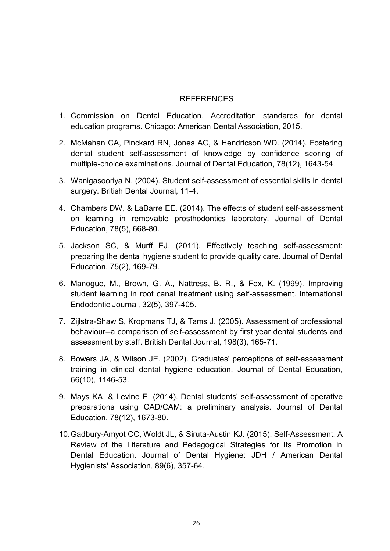## REFERENCES

- 1. Commission on Dental Education. Accreditation standards for dental education programs. Chicago: American Dental Association, 2015.
- 2. McMahan CA, Pinckard RN, Jones AC, & Hendricson WD. (2014). Fostering dental student self-assessment of knowledge by confidence scoring of multiple-choice examinations. Journal of Dental Education, 78(12), 1643-54.
- 3. Wanigasooriya N. (2004). Student self-assessment of essential skills in dental surgery. British Dental Journal, 11-4.
- 4. Chambers DW, & LaBarre EE. (2014). The effects of student self-assessment on learning in removable prosthodontics laboratory. Journal of Dental Education, 78(5), 668-80.
- 5. Jackson SC, & Murff EJ. (2011). Effectively teaching self-assessment: preparing the dental hygiene student to provide quality care. Journal of Dental Education, 75(2), 169-79.
- 6. Manogue, M., Brown, G. A., Nattress, B. R., & Fox, K. (1999). Improving student learning in root canal treatment using self-assessment. International Endodontic Journal, 32(5), 397-405.
- 7. Zijlstra-Shaw S, Kropmans TJ, & Tams J. (2005). Assessment of professional behaviour--a comparison of self-assessment by first year dental students and assessment by staff. British Dental Journal, 198(3), 165-71.
- 8. Bowers JA, & Wilson JE. (2002). Graduates' perceptions of self-assessment training in clinical dental hygiene education. Journal of Dental Education, 66(10), 1146-53.
- 9. Mays KA, & Levine E. (2014). Dental students' self-assessment of operative preparations using CAD/CAM: a preliminary analysis. Journal of Dental Education, 78(12), 1673-80.
- 10.Gadbury-Amyot CC, Woldt JL, & Siruta-Austin KJ. (2015). Self-Assessment: A Review of the Literature and Pedagogical Strategies for Its Promotion in Dental Education. Journal of Dental Hygiene: JDH / American Dental Hygienists' Association, 89(6), 357-64.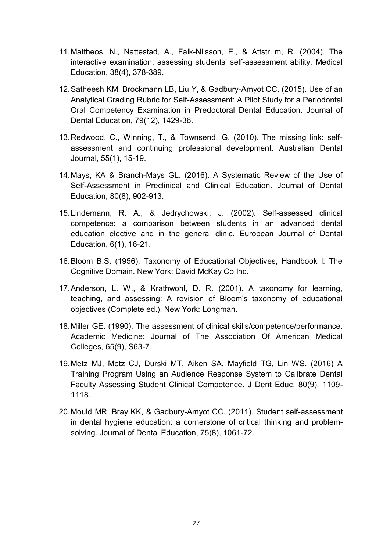- 11.Mattheos, N., Nattestad, A., Falk-Nilsson, E., & Attstr. m, R. (2004). The interactive examination: assessing students' self-assessment ability. Medical Education, 38(4), 378-389.
- 12.Satheesh KM, Brockmann LB, Liu Y, & Gadbury-Amyot CC. (2015). Use of an Analytical Grading Rubric for Self-Assessment: A Pilot Study for a Periodontal Oral Competency Examination in Predoctoral Dental Education. Journal of Dental Education, 79(12), 1429-36.
- 13.Redwood, C., Winning, T., & Townsend, G. (2010). The missing link: selfassessment and continuing professional development. Australian Dental Journal, 55(1), 15-19.
- 14.Mays, KA & Branch-Mays GL. (2016). A Systematic Review of the Use of Self-Assessment in Preclinical and Clinical Education. Journal of Dental Education, 80(8), 902-913.
- 15.Lindemann, R. A., & Jedrychowski, J. (2002). Self-assessed clinical competence: a comparison between students in an advanced dental education elective and in the general clinic. European Journal of Dental Education, 6(1), 16-21.
- 16.Bloom B.S. (1956). Taxonomy of Educational Objectives, Handbook I: The Cognitive Domain. New York: David McKay Co Inc.
- 17.Anderson, L. W., & Krathwohl, D. R. (2001). A taxonomy for learning, teaching, and assessing: A revision of Bloom's taxonomy of educational objectives (Complete ed.). New York: Longman.
- 18.Miller GE. (1990). The assessment of clinical skills/competence/performance. Academic Medicine: Journal of The Association Of American Medical Colleges, 65(9), S63-7.
- 19.Metz MJ, Metz CJ, Durski MT, Aiken SA, Mayfield TG, Lin WS. (2016) A Training Program Using an Audience Response System to Calibrate Dental Faculty Assessing Student Clinical Competence. J Dent Educ. 80(9), 1109- 1118.
- 20.Mould MR, Bray KK, & Gadbury-Amyot CC. (2011). Student self-assessment in dental hygiene education: a cornerstone of critical thinking and problemsolving. Journal of Dental Education, 75(8), 1061-72.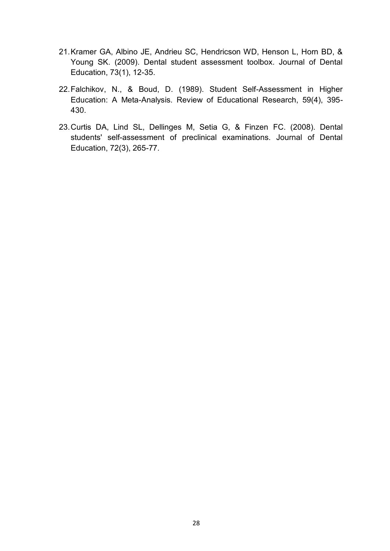- 21.Kramer GA, Albino JE, Andrieu SC, Hendricson WD, Henson L, Horn BD, & Young SK. (2009). Dental student assessment toolbox. Journal of Dental Education, 73(1), 12-35.
- 22.Falchikov, N., & Boud, D. (1989). Student Self-Assessment in Higher Education: A Meta-Analysis. Review of Educational Research, 59(4), 395- 430.
- 23.Curtis DA, Lind SL, Dellinges M, Setia G, & Finzen FC. (2008). Dental students' self-assessment of preclinical examinations. Journal of Dental Education, 72(3), 265-77.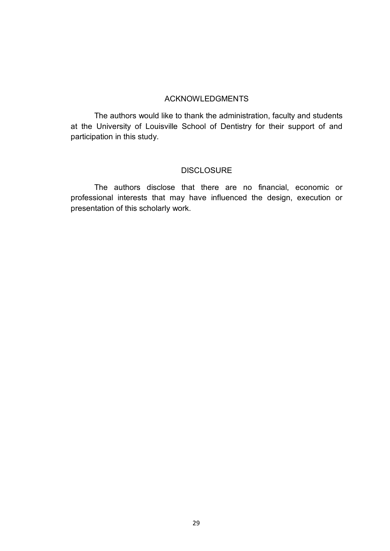### ACKNOWLEDGMENTS

The authors would like to thank the administration, faculty and students at the University of Louisville School of Dentistry for their support of and participation in this study.

#### **DISCLOSURE**

The authors disclose that there are no financial, economic or professional interests that may have influenced the design, execution or presentation of this scholarly work.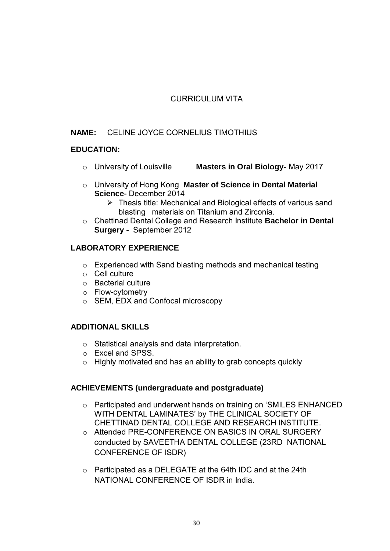## CURRICULUM VITA

## **NAME:** CELINE JOYCE CORNELIUS TIMOTHIUS

### **EDUCATION:**

- o University of Louisville **Masters in Oral Biology-** May 2017
- o University of Hong Kong **Master of Science in Dental Material Science**- December 2014
	- ➢ Thesis title: Mechanical and Biological effects of various sand blasting materials on Titanium and Zirconia.
- o Chettinad Dental College and Research Institute **Bachelor in Dental Surgery** -September 2012

## **LABORATORY EXPERIENCE**

- o Experienced with Sand blasting methods and mechanical testing
- o Cell culture
- o Bacterial culture
- o Flow-cytometry
- o SEM, EDX and Confocal microscopy

#### **ADDITIONAL SKILLS**

- o Statistical analysis and data interpretation.
- o Excel and SPSS.
- o Highly motivated and has an ability to grab concepts quickly

#### **ACHIEVEMENTS (undergraduate and postgraduate)**

- o Participated and underwent hands on training on 'SMILES ENHANCED WITH DENTAL LAMINATES' by THE CLINICAL SOCIETY OF CHETTINAD DENTAL COLLEGE AND RESEARCH INSTITUTE.
- o Attended PRE-CONFERENCE ON BASICS IN ORAL SURGERY conducted by SAVEETHA DENTAL COLLEGE (23RD NATIONAL CONFERENCE OF ISDR)
- o Participated as a DELEGATE at the 64th IDC and at the 24th NATIONAL CONFERENCE OF ISDR in India.